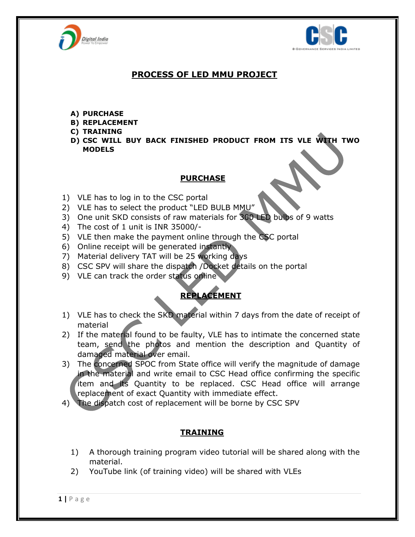



## **PROCESS OF LED MMU PROJECT**

- **A) PURCHASE**
- **B) REPLACEMENT**
- **C) TRAINING**
- **D) CSC WILL BUY BACK FINISHED PRODUCT FROM ITS VLE WITH TWO MODELS**

## **PURCHASE**

- 1) VLE has to log in to the CSC portal
- 2) VLE has to select the product "LED BULB MMU"
- 3) One unit SKD consists of raw materials for 300 LED bulbs of 9 watts
- 4) The cost of 1 unit is INR 35000/-
- 5) VLE then make the payment online through the CSC portal
- 6) Online receipt will be generated instantly
- 7) Material delivery TAT will be 25 working days
- 8) CSC SPV will share the dispatch /Docket details on the portal
- 9) VLE can track the order status online

# **REPLACEMENT**

- 1) VLE has to check the SKD material within 7 days from the date of receipt of material
- 2) If the material found to be faulty, VLE has to intimate the concerned state team, send the photos and mention the description and Quantity of damaged material over email.
- 3) The concerned SPOC from State office will verify the magnitude of damage in the material and write email to CSC Head office confirming the specific item and its Quantity to be replaced. CSC Head office will arrange replacement of exact Quantity with immediate effect.
- 4) The dispatch cost of replacement will be borne by CSC SPV

# **TRAINING**

- 1) A thorough training program video tutorial will be shared along with the material.
- 2) YouTube link (of training video) will be shared with VLEs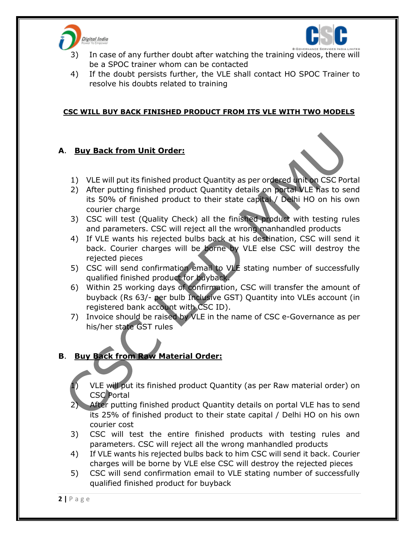



- 3) In case of any further doubt after watching the training videos, there will be a SPOC trainer whom can be contacted
- 4) If the doubt persists further, the VLE shall contact HO SPOC Trainer to resolve his doubts related to training

#### **CSC WILL BUY BACK FINISHED PRODUCT FROM ITS VLE WITH TWO MODELS**

### **A**. **Buy Back from Unit Order:**

- 1) VLE will put its finished product Quantity as per ordered unit on CSC Portal
- 2) After putting finished product Quantity details on portal VLE has to send its 50% of finished product to their state capital / Delhi HO on his own courier charge
- 3) CSC will test (Quality Check) all the finished product with testing rules and parameters. CSC will reject all the wrong manhandled products
- 4) If VLE wants his rejected bulbs back at his destination, CSC will send it back. Courier charges will be borne by VLE else CSC will destroy the rejected pieces
- 5) CSC will send confirmation email to VLE stating number of successfully qualified finished product for buyback.
- 6) Within 25 working days of confirmation, CSC will transfer the amount of buyback (Rs 63/- per bulb Inclusive GST) Quantity into VLEs account (in registered bank account with CSC ID).
- 7) Invoice should be raised by VLE in the name of CSC e-Governance as per his/her state GST rules

# **B**. **Buy Back from Raw Material Order:**

- 1) VLE will put its finished product Quantity (as per Raw material order) on CSC Portal
- After putting finished product Quantity details on portal VLE has to send its 25% of finished product to their state capital / Delhi HO on his own courier cost
- 3) CSC will test the entire finished products with testing rules and parameters. CSC will reject all the wrong manhandled products
- 4) If VLE wants his rejected bulbs back to him CSC will send it back. Courier charges will be borne by VLE else CSC will destroy the rejected pieces
- 5) CSC will send confirmation email to VLE stating number of successfully qualified finished product for buyback